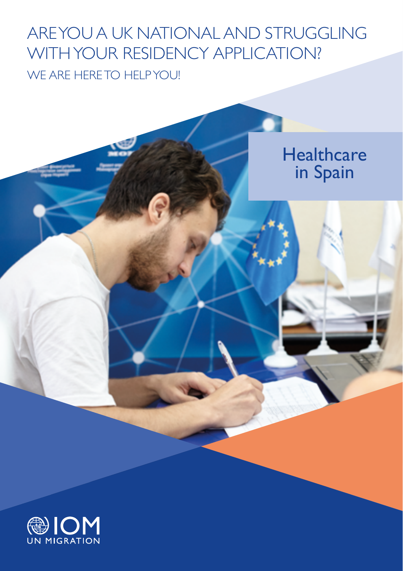# WE ARE HERE TO HELP YOU! ARE YOU A UK NATIONAL AND STRUGGLING WITH YOUR RESIDENCY APPLICATION?



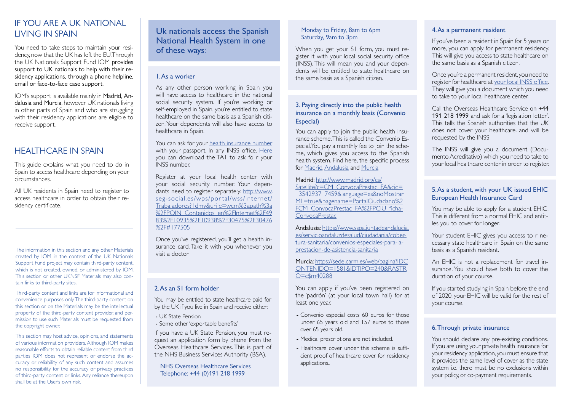# IF YOU ARE A UK NATIONAL LIVING IN SPAIN

You need to take steps to maintain your residency, now that the UK has left the EU. Through the UK Nationals Support Fund IOM provides support to UK nationals to help with their residency applications, through a phone helpline, email or face-to-face case support.

IOM's support is available mainly in Madrid, Andalusia and Murcia, however UK nationals living in other parts of Spain and who are struggling with their residency applications are eligible to receive support.

# HEALTHCARE IN SPAIN

This guide explains what you need to do in Spain to access healthcare depending on your circumstances.

All UK residents in Spain need to register to access healthcare in order to obtain their residency certificate.

The information in this section and any other Materials created by IOM in the context of the UK Nationals Support Fund project may contain third-party content, which is not created, owned, or administered by IOM. This section or other UKNSF Materials may also contain links to third-party sites.

Third-party content and links are for informational and convenience purposes only. The third-party content on this section or on the Materials may be the intellectual property of the third-party content provider, and permission to use such Materials must be requested from the copyright owner.

This section may host advice, opinions, and statements of various information providers. Although IOM makes reasonable efforts to obtain reliable content from third parties IOM does not represent or endorse the accuracy or reliability of any such content and assumes no responsibility for the accuracy or privacy practices of third-party content or links. Any reliance thereupon shall be at the User's own risk.

## Uk nationals access the Spanish National Health System in one of these ways:

#### 1. As a worker

As any other person working in Spain you will have access to healthcare in the national social security system. If you're working or self-employed in Spain, you're entitled to state healthcare on the same basis as a Spanish citizen. Your dependents will also have access to healthcare in Spain.

You can ask for your [health insurance number](http://www.seg-social.es/wps/portal/wss/internet/InformacionUtil/44539/44084) with your passport. In any INSS office. [Here](http://www.seg-social.es/wps/portal/wss/internet/Trabajadores/Afiliacion/10817/31190/572) you can download the TA1 to ask fo r your INSS number.

Register at your local health center with your social security number. Your dependants need to register separately: [http://www.](http://www.seg-social.es/wps/portal/wss/internet/Trabajadores?1dmy&urile=wcm%3apath%3a%2FPOIN_Contenidos_en%2FInternet%2F4983%2F10935%2F10938%2F30475%2F30476%2F#177505) [seg-social.es/wps/portal/wss/internet/](http://www.seg-social.es/wps/portal/wss/internet/Trabajadores?1dmy&urile=wcm%3apath%3a%2FPOIN_Contenidos_en%2FInternet%2F4983%2F10935%2F10938%2F30475%2F30476%2F#177505) [Trabajadores?1dmy&urile=wcm%3apath%3a](http://www.seg-social.es/wps/portal/wss/internet/Trabajadores?1dmy&urile=wcm%3apath%3a%2FPOIN_Contenidos_en%2FInternet%2F4983%2F10935%2F10938%2F30475%2F30476%2F#177505) [%2FPOIN\\_Contenidos\\_en%2FInternet%2F49](http://www.seg-social.es/wps/portal/wss/internet/Trabajadores?1dmy&urile=wcm%3apath%3a%2FPOIN_Contenidos_en%2FInternet%2F4983%2F10935%2F10938%2F30475%2F30476%2F#177505) [83%2F10935%2F10938%2F30475%2F30476](http://www.seg-social.es/wps/portal/wss/internet/Trabajadores?1dmy&urile=wcm%3apath%3a%2FPOIN_Contenidos_en%2FInternet%2F4983%2F10935%2F10938%2F30475%2F30476%2F#177505) [%2F#177505](http://www.seg-social.es/wps/portal/wss/internet/Trabajadores?1dmy&urile=wcm%3apath%3a%2FPOIN_Contenidos_en%2FInternet%2F4983%2F10935%2F10938%2F30475%2F30476%2F#177505) 

Once you've registered, you'll get a health insurance card. Take it with you whenever you visit a doctor

## 2. As an S1 form holder

You may be entitled to state healthcare paid for by the UK if you live in Spain and receive either:

- UK State Pension
- Some other 'exportable benefits'

If you have a UK State Pension, you must request an application form by phone from the Overseas Healthcare Services. This is part of the NHS Business Services Authority (BSA).

NHS Overseas Healthcare Services Telephone: +44 (0)191 218 1999

#### Monday to Friday, 8am to 6pm Saturday, 9am to 3pm

When you get your S1 form, you must register it with your local social security office (INSS). This will mean you and your dependents will be entitled to state healthcare on the same basis as a Spanish citizen.

## 3. Paying directly into the public health insurance on a monthly basis (Convenio Especial)

You can apply to join the public health insurance scheme. This is called the Convenio Especial. You pay a monthly fee to join the scheme, which gives you access to the Spanish health system. Find here, the specific process for [Madrid,](http://www.madrid.org/cs/Satellite?c=CM_ConvocaPrestac_FA&cid=1354293717459&language=es&noMostrarML=true&pagename=PortalCiudadano%2FCM_ConvocaPrestac_FA%2FPCIU_fichaConvocaPrestac) [Andalusia](https://www.sspa.juntadeandalucia.es/servicioandaluzdesalud/ciudadania/cobertura-sanitaria/convenios-especiales-para-la-prestacion-de-asistencia-sanitaria) and [Murcia](https://sede.carm.es/web/pagina?IDCONTENIDO=1581&IDTIPO=240&RASTRO=c$m40288)

Madrid: [http://www.madrid.org/cs/](http://www.madrid.org/cs/Satellite?c=CM_ConvocaPrestac_FA&cid=1354293717459&language=es&noMostrarML=true&pagename=PortalCiudadano%2FCM_ConvocaPrestac_FA%2FPCIU_fichaConvocaPrestac) [Satellite?c=CM\\_ConvocaPrestac\\_FA&cid=](http://www.madrid.org/cs/Satellite?c=CM_ConvocaPrestac_FA&cid=1354293717459&language=es&noMostrarML=true&pagename=PortalCiudadano%2FCM_ConvocaPrestac_FA%2FPCIU_fichaConvocaPrestac) [1354293717459&language=es&noMostrar](http://www.madrid.org/cs/Satellite?c=CM_ConvocaPrestac_FA&cid=1354293717459&language=es&noMostrarML=true&pagename=PortalCiudadano%2FCM_ConvocaPrestac_FA%2FPCIU_fichaConvocaPrestac) [ML=true&pagename=PortalCiudadano%2](http://www.madrid.org/cs/Satellite?c=CM_ConvocaPrestac_FA&cid=1354293717459&language=es&noMostrarML=true&pagename=PortalCiudadano%2FCM_ConvocaPrestac_FA%2FPCIU_fichaConvocaPrestac) [FCM\\_ConvocaPrestac\\_FA%2FPCIU\\_ficha](http://www.madrid.org/cs/Satellite?c=CM_ConvocaPrestac_FA&cid=1354293717459&language=es&noMostrarML=true&pagename=PortalCiudadano%2FCM_ConvocaPrestac_FA%2FPCIU_fichaConvocaPrestac)-[ConvocaPrestac](http://www.madrid.org/cs/Satellite?c=CM_ConvocaPrestac_FA&cid=1354293717459&language=es&noMostrarML=true&pagename=PortalCiudadano%2FCM_ConvocaPrestac_FA%2FPCIU_fichaConvocaPrestac)

Andalusia: [https://www.sspa.juntadeandalucia.](https://www.sspa.juntadeandalucia.es/servicioandaluzdesalud/ciudadania/cobertura-sanitaria/convenios-especiales-para-la-prestacion-de-asistencia-sanitaria) [es/servicioandaluzdesalud/ciudadania/cober](https://www.sspa.juntadeandalucia.es/servicioandaluzdesalud/ciudadania/cobertura-sanitaria/convenios-especiales-para-la-prestacion-de-asistencia-sanitaria)[tura-sanitaria/convenios-especiales-para-la](https://www.sspa.juntadeandalucia.es/servicioandaluzdesalud/ciudadania/cobertura-sanitaria/convenios-especiales-para-la-prestacion-de-asistencia-sanitaria)[prestacion-de-asistencia-sanitaria](https://www.sspa.juntadeandalucia.es/servicioandaluzdesalud/ciudadania/cobertura-sanitaria/convenios-especiales-para-la-prestacion-de-asistencia-sanitaria)

Murcia: [https://sede.carm.es/web/pagina?IDC](https://sede.carm.es/web/pagina?IDCONTENIDO=1581&IDTIPO=240&RASTRO=c$m40288) [ONTENIDO=1581&IDTIPO=240&RASTR](https://sede.carm.es/web/pagina?IDCONTENIDO=1581&IDTIPO=240&RASTRO=c$m40288) [O=c\\$m40288](https://sede.carm.es/web/pagina?IDCONTENIDO=1581&IDTIPO=240&RASTRO=c$m40288)

You can apply if you've been registered on the 'padrón' (at your local town hall) for at least one year.

- Convenio especial costs 60 euros for those under 65 years old and 157 euros to those over 65 years old.
- Medical prescriptions are not included.
- Healthcare cover under this scheme is sufficient proof of healthcare cover for residency applications..

#### 4. As a permanent resident

If you've been a resident in Spain for 5 years or more, you can apply for permanent residency. This will give you access to state healthcare on the same basis as a Spanish citizen.

Once you're a permanent resident, you need to register for healthcare at [your local INSS office](http://www.seg-social.es/wps/portal/wss/internet/OficinaSeguridadSocial/). They will give you a document which you need to take to your local healthcare center.

Call the Overseas Healthcare Service on +44 191 218 1999 and ask for a 'legislation letter'. This tells the Spanish authorities that the UK does not cover your healthcare. and will be requested by the INSS

The INSS will give you a document (Documento Acreditativo) which you need to take to your local healthcare center in order to register.

#### 5. As a student, with your UK issued EHIC European Health Insurance Card

You may be able to apply for a student EHIC. This is different from a normal EHIC and entitles you to cover for longer.

Your student EHIC gives you access to r necessary state healthcare in Spain on the same basis as a Spanish resident.

An EHIC is not a replacement for travel insurance. You should have both to cover the duration of your course.

If you started studying in Spain before the end of 2020, your EHIC will be valid for the rest of your course.

### 6. Through private insurance

You should declare any pre-existing conditions. If you are using your private health insurance for your residency application, you must ensure that it provides the same level of cover as the state system i.e. there must be no exclusions within your policy, or co-payment requirements.